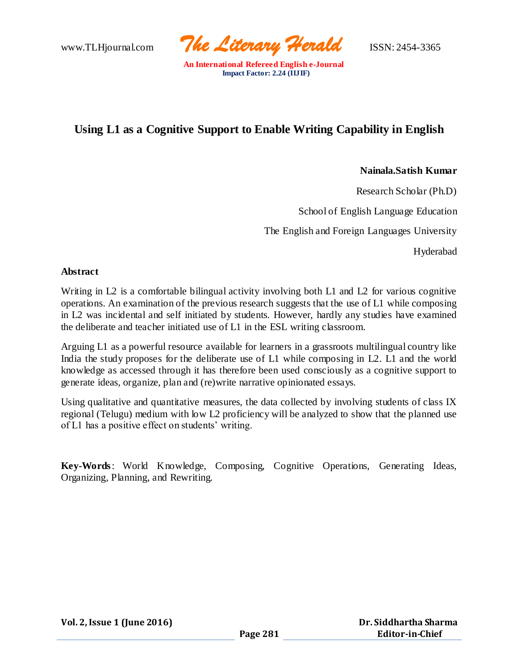www.TLHjournal.com *The Literary Herald*ISSN: 2454-3365

# **Using L1 as a Cognitive Support to Enable Writing Capability in English**

## **Nainala.Satish Kumar**

Research Scholar (Ph.D)

School of English Language Education

The English and Foreign Languages University

Hyderabad

#### **Abstract**

Writing in L2 is a comfortable bilingual activity involving both L1 and L2 for various cognitive operations. An examination of the previous research suggests that the use of L1 while composing in L2 was incidental and self initiated by students. However, hardly any studies have examined the deliberate and teacher initiated use of L1 in the ESL writing classroom.

Arguing L1 as a powerful resource available for learners in a grassroots multilingual country like India the study proposes for the deliberate use of L1 while composing in L2. L1 and the world knowledge as accessed through it has therefore been used consciously as a cognitive support to generate ideas, organize, plan and (re)write narrative opinionated essays.

Using qualitative and quantitative measures, the data collected by involving students of class IX regional (Telugu) medium with low L2 proficiency will be analyzed to show that the planned use of L1 has a positive effect on students' writing.

**Key-Words**: World Knowledge, Composing, Cognitive Operations, Generating Ideas, Organizing, Planning, and Rewriting.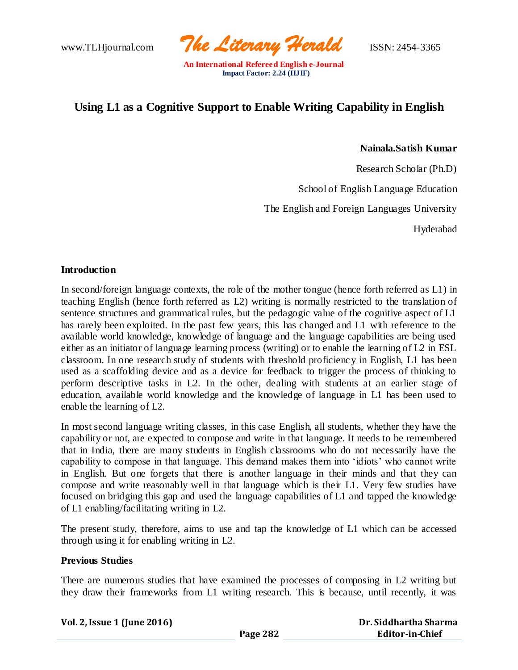www.TLHjournal.com *The Literary Herald*ISSN: 2454-3365

# **Using L1 as a Cognitive Support to Enable Writing Capability in English**

**Nainala.Satish Kumar**

Research Scholar (Ph.D)

School of English Language Education

The English and Foreign Languages University

Hyderabad

## **Introduction**

In second/foreign language contexts, the role of the mother tongue (hence forth referred as L1) in teaching English (hence forth referred as L2) writing is normally restricted to the translation of sentence structures and grammatical rules, but the pedagogic value of the cognitive aspect of L1 has rarely been exploited. In the past few years, this has changed and L1 with reference to the available world knowledge, knowledge of language and the language capabilities are being used either as an initiator of language learning process (writing) or to enable the learning of L2 in ESL classroom. In one research study of students with threshold proficiency in English, L1 has been used as a scaffolding device and as a device for feedback to trigger the process of thinking to perform descriptive tasks in L2. In the other, dealing with students at an earlier stage of education, available world knowledge and the knowledge of language in L1 has been used to enable the learning of L2.

In most second language writing classes, in this case English, all students, whether they have the capability or not, are expected to compose and write in that language. It needs to be remembered that in India, there are many students in English classrooms who do not necessarily have the capability to compose in that language. This demand makes them into 'idiots' who cannot write in English. But one forgets that there is another language in their minds and that they can compose and write reasonably well in that language which is their L1. Very few studies have focused on bridging this gap and used the language capabilities of L1 and tapped the knowledge of L1 enabling/facilitating writing in L2.

The present study, therefore, aims to use and tap the knowledge of L1 which can be accessed through using it for enabling writing in L2.

#### **Previous Studies**

There are numerous studies that have examined the processes of composing in L2 writing but they draw their frameworks from L1 writing research. This is because, until recently, it was

| Dr. Siddhartha Sharma |
|-----------------------|
| Editor-in-Chief       |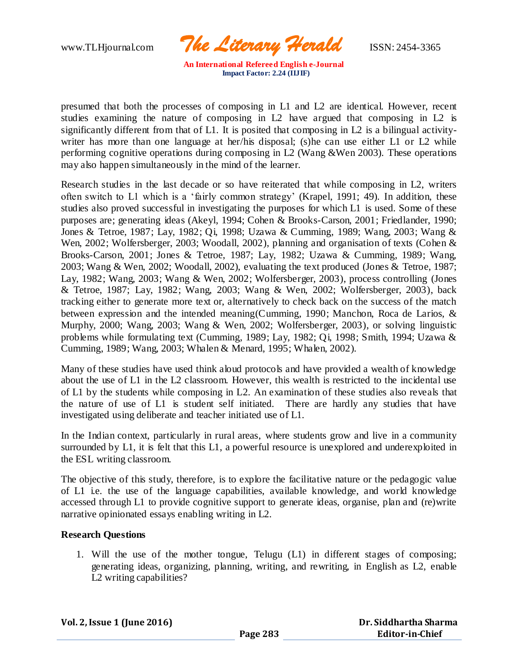www.TLHjournal.com *The Literary Herald*ISSN: 2454-3365

presumed that both the processes of composing in L1 and L2 are identical. However, recent studies examining the nature of composing in L2 have argued that composing in L2 is significantly different from that of L1. It is posited that composing in L2 is a bilingual activitywriter has more than one language at her/his disposal; (s) he can use either L1 or L2 while performing cognitive operations during composing in L2 (Wang &Wen 2003). These operations may also happen simultaneously in the mind of the learner.

Research studies in the last decade or so have reiterated that while composing in L2, writers often switch to L1 which is a 'fairly common strategy' (Krapel, 1991; 49). In addition, these studies also proved successful in investigating the purposes for which L1 is used. Some of these purposes are; generating ideas (Akeyl, 1994; Cohen & Brooks-Carson, 2001; Friedlander, 1990; Jones & Tetroe, 1987; Lay, 1982; Qi, 1998; Uzawa & Cumming, 1989; Wang, 2003; Wang & Wen, 2002; Wolfersberger, 2003; Woodall, 2002), planning and organisation of texts (Cohen & Brooks-Carson, 2001; Jones & Tetroe, 1987; Lay, 1982; Uzawa & Cumming, 1989; Wang, 2003; Wang & Wen, 2002; Woodall, 2002), evaluating the text produced (Jones & Tetroe, 1987; Lay, 1982; Wang, 2003; Wang & Wen, 2002; Wolfersberger, 2003), process controlling (Jones & Tetroe, 1987; Lay, 1982; Wang, 2003; Wang & Wen, 2002; Wolfersberger, 2003), back tracking either to generate more text or, alternatively to check back on the success of the match between expression and the intended meaning(Cumming, 1990; Manchon, Roca de Larios, & Murphy, 2000; Wang, 2003; Wang & Wen, 2002; Wolfersberger, 2003), or solving linguistic problems while formulating text (Cumming, 1989; Lay, 1982; Qi, 1998; Smith, 1994; Uzawa & Cumming, 1989; Wang, 2003; Whalen & Menard, 1995; Whalen, 2002).

Many of these studies have used think aloud protocols and have provided a wealth of knowledge about the use of L1 in the L2 classroom. However, this wealth is restricted to the incidental use of L1 by the students while composing in L2. An examination of these studies also reveals that the nature of use of L1 is student self initiated. There are hardly any studies that have investigated using deliberate and teacher initiated use of L1.

In the Indian context, particularly in rural areas, where students grow and live in a community surrounded by L1, it is felt that this L1, a powerful resource is unexplored and underexploited in the ESL writing classroom.

The objective of this study, therefore, is to explore the facilitative nature or the pedagogic value of L1 i.e. the use of the language capabilities, available knowledge, and world knowledge accessed through L1 to provide cognitive support to generate ideas, organise, plan and (re)write narrative opinionated essays enabling writing in L2.

# **Research Questions**

1. Will the use of the mother tongue, Telugu (L1) in different stages of composing; generating ideas, organizing, planning, writing, and rewriting, in English as L2, enable L2 writing capabilities?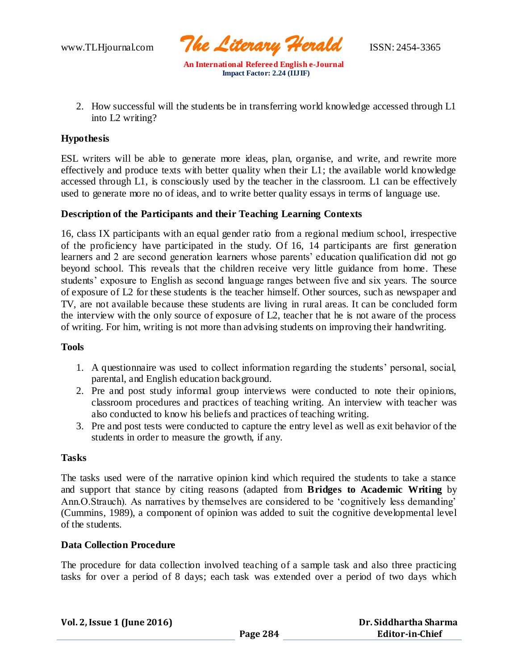www.TLHjournal.com *The Literary Herald*ISSN: 2454-3365

2. How successful will the students be in transferring world knowledge accessed through L1 into L2 writing?

# **Hypothesis**

ESL writers will be able to generate more ideas, plan, organise, and write, and rewrite more effectively and produce texts with better quality when their L1; the available world knowledge accessed through L1, is consciously used by the teacher in the classroom. L1 can be effectively used to generate more no of ideas, and to write better quality essays in terms of language use.

# **Description of the Participants and their Teaching Learning Contexts**

16, class IX participants with an equal gender ratio from a regional medium school, irrespective of the proficiency have participated in the study. Of 16, 14 participants are first generation learners and 2 are second generation learners whose parents' education qualification did not go beyond school. This reveals that the children receive very little guidance from home. These students' exposure to English as second language ranges between five and six years. The source of exposure of L2 for these students is the teacher himself. Other sources, such as newspaper and TV, are not available because these students are living in rural areas. It can be concluded form the interview with the only source of exposure of L2, teacher that he is not aware of the process of writing. For him, writing is not more than advising students on improving their handwriting.

# **Tools**

- 1. A questionnaire was used to collect information regarding the students' personal, social, parental, and English education background.
- 2. Pre and post study informal group interviews were conducted to note their opinions, classroom procedures and practices of teaching writing. An interview with teacher was also conducted to know his beliefs and practices of teaching writing.
- 3. Pre and post tests were conducted to capture the entry level as well as exit behavior of the students in order to measure the growth, if any.

# **Tasks**

The tasks used were of the narrative opinion kind which required the students to take a stance and support that stance by citing reasons (adapted from **Bridges to Academic Writing** by Ann.O.Strauch). As narratives by themselves are considered to be 'cognitively less demanding' (Cummins, 1989), a component of opinion was added to suit the cognitive developmental level of the students.

#### **Data Collection Procedure**

The procedure for data collection involved teaching of a sample task and also three practicing tasks for over a period of 8 days; each task was extended over a period of two days which

| Vol. 2, Issue 1 (June 2016) |  |
|-----------------------------|--|
|-----------------------------|--|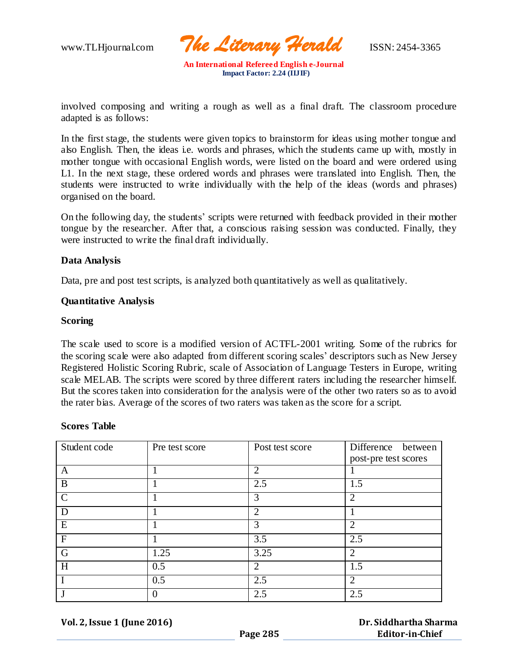www.TLHjournal.com *The Literary Herald*ISSN: 2454-3365

involved composing and writing a rough as well as a final draft. The classroom procedure adapted is as follows:

In the first stage, the students were given topics to brainstorm for ideas using mother tongue and also English. Then, the ideas i.e. words and phrases, which the students came up with, mostly in mother tongue with occasional English words, were listed on the board and were ordered using L1. In the next stage, these ordered words and phrases were translated into English. Then, the students were instructed to write individually with the help of the ideas (words and phrases) organised on the board.

On the following day, the students' scripts were returned with feedback provided in their mother tongue by the researcher. After that, a conscious raising session was conducted. Finally, they were instructed to write the final draft individually.

## **Data Analysis**

Data, pre and post test scripts, is analyzed both quantitatively as well as qualitatively.

## **Quantitative Analysis**

## **Scoring**

The scale used to score is a modified version of ACTFL-2001 writing. Some of the rubrics for the scoring scale were also adapted from different scoring scales' descriptors such as New Jersey Registered Holistic Scoring Rubric, scale of Association of Language Testers in Europe, writing scale MELAB. The scripts were scored by three different raters including the researcher himself. But the scores taken into consideration for the analysis were of the other two raters so as to avoid the rater bias. Average of the scores of two raters was taken as the score for a script.

#### **Scores Table**

| Student code  | Pre test score | Post test score | Difference between   |
|---------------|----------------|-----------------|----------------------|
|               |                |                 | post-pre test scores |
| A             |                | $\overline{2}$  |                      |
| B             |                | 2.5             | 1.5                  |
| $\mathcal{C}$ |                | 3               | 2                    |
| D             |                | 2               |                      |
| E             |                | 3               | $\overline{2}$       |
| $\mathbf F$   |                | 3.5             | 2.5                  |
| $\mathbf G$   | 1.25           | 3.25            | $\overline{2}$       |
| H             | 0.5            | ာ               | 1.5                  |
|               | 0.5            | 2.5             | $\overline{2}$       |
|               |                | 2.5             | 2.5                  |

**Vol. 2, Issue 1 (June 2016)**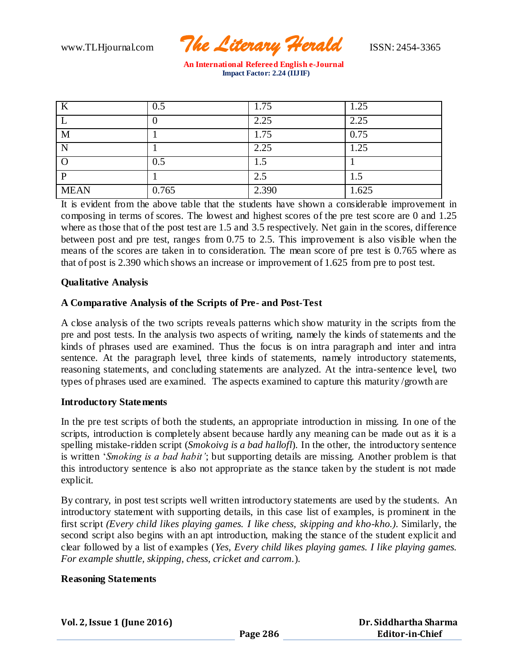

| An International Refereed English e-Journal |
|---------------------------------------------|
| Impact Factor: $2.24$ (IIJ IF)              |

| K           | 0.5   | 1.75  | 1.25  |
|-------------|-------|-------|-------|
|             |       | 2.25  | 2.25  |
| M           |       | 1.75  | 0.75  |
| N           |       | 2.25  | 1.25  |
|             | 0.5   | 1.5   |       |
| P           |       | 2.5   | 1.5   |
| <b>MEAN</b> | 0.765 | 2.390 | 1.625 |

It is evident from the above table that the students have shown a considerable improvement in composing in terms of scores. The lowest and highest scores of the pre test score are 0 and 1.25 where as those that of the post test are 1.5 and 3.5 respectively. Net gain in the scores, difference between post and pre test, ranges from 0.75 to 2.5. This improvement is also visible when the means of the scores are taken in to consideration. The mean score of pre test is 0.765 where as that of post is 2.390 which shows an increase or improvement of 1.625 from pre to post test.

# **Qualitative Analysis**

# **A Comparative Analysis of the Scripts of Pre- and Post-Test**

A close analysis of the two scripts reveals patterns which show maturity in the scripts from the pre and post tests. In the analysis two aspects of writing, namely the kinds of statements and the kinds of phrases used are examined. Thus the focus is on intra paragraph and inter and intra sentence. At the paragraph level, three kinds of statements, namely introductory statements, reasoning statements, and concluding statements are analyzed. At the intra-sentence level, two types of phrases used are examined. The aspects examined to capture this maturity /growth are

#### **Introductory Statements**

In the pre test scripts of both the students, an appropriate introduction in missing. In one of the scripts, introduction is completely absent because hardly any meaning can be made out as it is a spelling mistake-ridden script (*Smokoivg is a bad hallofl*). In the other, the introductory sentence is written '*Smoking is a bad habit'*; but supporting details are missing. Another problem is that this introductory sentence is also not appropriate as the stance taken by the student is not made explicit.

By contrary, in post test scripts well written introductory statements are used by the students. An introductory statement with supporting details, in this case list of examples, is prominent in the first script *(Every child likes playing games. I like chess, skipping and kho-kho.)*. Similarly, the second script also begins with an apt introduction, making the stance of the student explicit and clear followed by a list of examples (*Yes, Every child likes playing games. I like playing games. For example shuttle, skipping, chess, cricket and carrom.*).

#### **Reasoning Statements**

| <b>Vol. 2, Issue 1 (June 2016)</b> |
|------------------------------------|
|------------------------------------|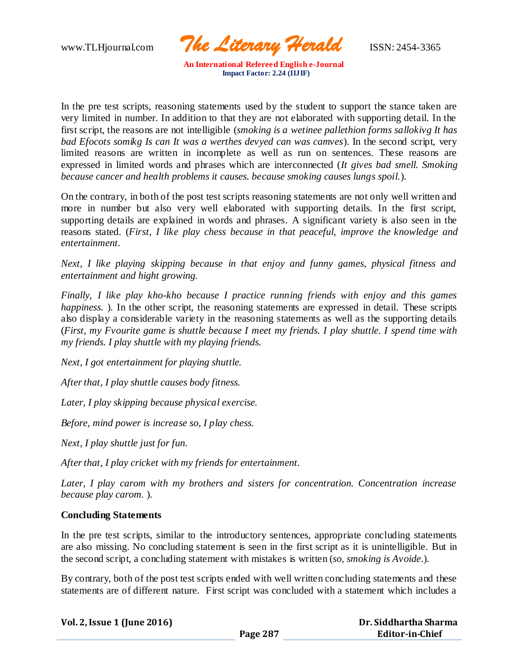www.TLHjournal.com *The Literary Herald*ISSN: 2454-3365

In the pre test scripts, reasoning statements used by the student to support the stance taken are very limited in number. In addition to that they are not elaborated with supporting detail. In the first script, the reasons are not intelligible (*smoking is a wetinee pallethion forms sallokivg It has bad Efocots somikg Is can It was a werthes devyed can was camves*). In the second script, very limited reasons are written in incomplete as well as run on sentences. These reasons are expressed in limited words and phrases which are interconnected (*It gives bad smell. Smoking because cancer and health problems it causes. because smoking causes lungs spoil.*).

On the contrary, in both of the post test scripts reasoning statements are not only well written and more in number but also very well elaborated with supporting details. In the first script, supporting details are explained in words and phrases. A significant variety is also seen in the reasons stated. (*First, I like play chess because in that peaceful, improve the knowledge and entertainment.*

*Next, I like playing skipping because in that enjoy and funny games, physical fitness and entertainment and hight growing.*

*Finally, I like play kho-kho because I practice running friends with enjoy and this games happiness.* ). In the other script, the reasoning statements are expressed in detail. These scripts also display a considerable variety in the reasoning statements as well as the supporting details (*First, my Fvourite game is shuttle because I meet my friends. I play shuttle. I spend time with my friends. I play shuttle with my playing friends.*

*Next, I got entertainment for playing shuttle.*

*After that, I play shuttle causes body fitness.*

*Later, I play skipping because physical exercise.*

*Before, mind power is increase so, I play chess.*

*Next, I play shuttle just for fun.*

*After that, I play cricket with my friends for entertainment.*

*Later, I play carom with my brothers and sisters for concentration. Concentration increase because play carom.* ).

# **Concluding Statements**

In the pre test scripts, similar to the introductory sentences, appropriate concluding statements are also missing. No concluding statement is seen in the first script as it is unintelligible. But in the second script, a concluding statement with mistakes is written (*so, smoking is Avoide*.).

By contrary, both of the post test scripts ended with well written concluding statements and these statements are of different nature. First script was concluded with a statement which includes a

| Vol. 2, Issue 1 (June 2016) |          | Dr. Siddhartha Sharma  |
|-----------------------------|----------|------------------------|
|                             | Page 287 | <b>Editor-in-Chief</b> |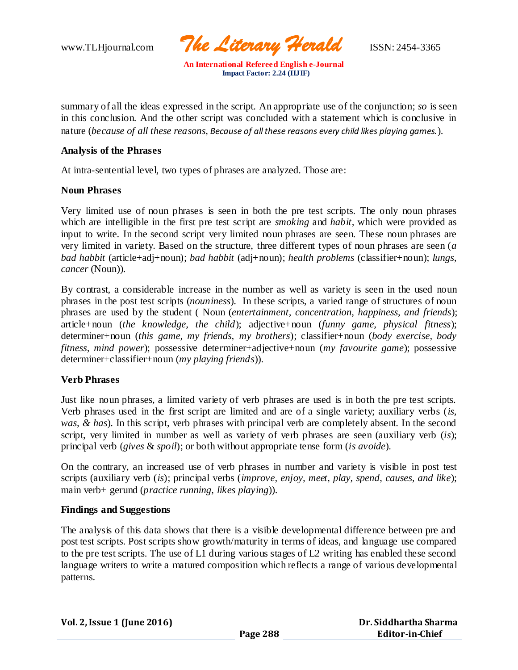www.TLHjournal.com *The Literary Herald*ISSN: 2454-3365

summary of all the ideas expressed in the script. An appropriate use of the conjunction; *so* is seen in this conclusion. And the other script was concluded with a statement which is conclusive in nature (*because of all these reasons, Because of all these reasons every child likes playing games.*).

### **Analysis of the Phrases**

At intra-sentential level, two types of phrases are analyzed. Those are:

## **Noun Phrases**

Very limited use of noun phrases is seen in both the pre test scripts. The only noun phrases which are intelligible in the first pre test script are *smoking* and *habit,* which were provided as input to write. In the second script very limited noun phrases are seen. These noun phrases are very limited in variety. Based on the structure, three different types of noun phrases are seen (*a bad habbit* (article+adj+noun); *bad habbit* (adj+noun); *health problems* (classifier+noun); *lungs, cancer* (Noun)).

By contrast, a considerable increase in the number as well as variety is seen in the used noun phrases in the post test scripts (*nouniness*). In these scripts, a varied range of structures of noun phrases are used by the student ( Noun (*entertainment, concentration, happiness, and friends*); article+noun (*the knowledge, the child*); adjective+noun (*funny game, physical fitness*); determiner+noun (*this game, my friends, my brothers*); classifier+noun (*body exercise, body fitness, mind power*); possessive determiner+adjective+noun (*my favourite game*); possessive determiner+classifier+noun (*my playing friends*)).

# **Verb Phrases**

Just like noun phrases, a limited variety of verb phrases are used is in both the pre test scripts. Verb phrases used in the first script are limited and are of a single variety; auxiliary verbs (*is, was, & has*). In this script, verb phrases with principal verb are completely absent. In the second script, very limited in number as well as variety of verb phrases are seen (auxiliary verb (*is*); principal verb (*gives* & *spoil*); or both without appropriate tense form (*is avoide*).

On the contrary, an increased use of verb phrases in number and variety is visible in post test scripts (auxiliary verb (*is*); principal verbs (*improve, enjoy, meet, play, spend*, *causes, and like*); main verb+ gerund (*practice running, likes playing*)).

#### **Findings and Suggestions**

The analysis of this data shows that there is a visible developmental difference between pre and post test scripts. Post scripts show growth/maturity in terms of ideas, and language use compared to the pre test scripts. The use of L1 during various stages of L2 writing has enabled these second language writers to write a matured composition which reflects a range of various developmental patterns.

| Vol. 2, Issue 1 (June 2016) |
|-----------------------------|
|-----------------------------|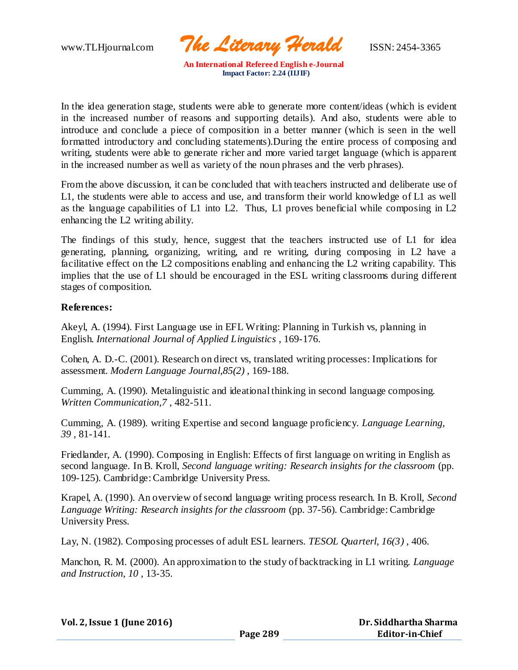www.TLHjournal.com *The Literary Herald*ISSN: 2454-3365

In the idea generation stage, students were able to generate more content/ideas (which is evident in the increased number of reasons and supporting details). And also, students were able to introduce and conclude a piece of composition in a better manner (which is seen in the well formatted introductory and concluding statements).During the entire process of composing and writing, students were able to generate richer and more varied target language (which is apparent in the increased number as well as variety of the noun phrases and the verb phrases).

From the above discussion, it can be concluded that with teachers instructed and deliberate use of L1, the students were able to access and use, and transform their world knowledge of L1 as well as the language capabilities of L1 into L2. Thus, L1 proves beneficial while composing in L2 enhancing the L2 writing ability.

The findings of this study, hence, suggest that the teachers instructed use of L1 for idea generating, planning, organizing, writing, and re writing, during composing in L2 have a facilitative effect on the L2 compositions enabling and enhancing the L2 writing capability. This implies that the use of L1 should be encouraged in the ESL writing classrooms during different stages of composition.

# **References:**

Akeyl, A. (1994). First Language use in EFL Writing: Planning in Turkish vs, planning in English. *International Journal of Applied Linguistics* , 169-176.

Cohen, A. D.-C. (2001). Research on direct vs, translated writing processes: Implications for assessment. *Modern Language Journal,85(2)* , 169-188.

Cumming, A. (1990). Metalinguistic and ideational thinking in second language composing. *Written Communication,7* , 482-511.

Cumming, A. (1989). writing Expertise and second language proficiency. *Language Learning, 39* , 81-141.

Friedlander, A. (1990). Composing in English: Effects of first language on writing in English as second language. In B. Kroll, *Second language writing: Research insights for the classroom* (pp. 109-125). Cambridge: Cambridge University Press.

Krapel, A. (1990). An overview of second language writing process research. In B. Kroll, *Second Language Writing: Research insights for the classroom* (pp. 37-56). Cambridge: Cambridge University Press.

Lay, N. (1982). Composing processes of adult ESL learners. *TESOL Quarterl, 16(3)* , 406.

Manchon, R. M. (2000). An approximation to the study of backtracking in L1 writing. *Language and Instruction, 10* , 13-35.